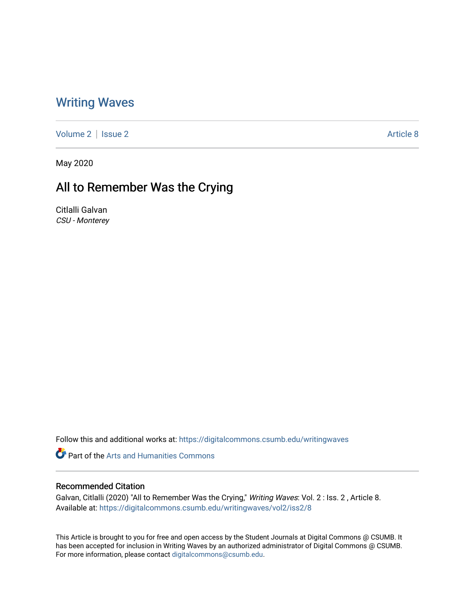## [Writing Waves](https://digitalcommons.csumb.edu/writingwaves)

[Volume 2](https://digitalcommons.csumb.edu/writingwaves/vol2) | [Issue 2](https://digitalcommons.csumb.edu/writingwaves/vol2/iss2) Article 8

May 2020

# All to Remember Was the Crying

Citlalli Galvan CSU - Monterey

Follow this and additional works at: [https://digitalcommons.csumb.edu/writingwaves](https://digitalcommons.csumb.edu/writingwaves?utm_source=digitalcommons.csumb.edu%2Fwritingwaves%2Fvol2%2Fiss2%2F8&utm_medium=PDF&utm_campaign=PDFCoverPages) 

Part of the [Arts and Humanities Commons](http://network.bepress.com/hgg/discipline/438?utm_source=digitalcommons.csumb.edu%2Fwritingwaves%2Fvol2%2Fiss2%2F8&utm_medium=PDF&utm_campaign=PDFCoverPages) 

#### Recommended Citation

Galvan, Citlalli (2020) "All to Remember Was the Crying," Writing Waves: Vol. 2 : Iss. 2 , Article 8. Available at: [https://digitalcommons.csumb.edu/writingwaves/vol2/iss2/8](https://digitalcommons.csumb.edu/writingwaves/vol2/iss2/8?utm_source=digitalcommons.csumb.edu%2Fwritingwaves%2Fvol2%2Fiss2%2F8&utm_medium=PDF&utm_campaign=PDFCoverPages) 

This Article is brought to you for free and open access by the Student Journals at Digital Commons @ CSUMB. It has been accepted for inclusion in Writing Waves by an authorized administrator of Digital Commons @ CSUMB. For more information, please contact [digitalcommons@csumb.edu](mailto:digitalcommons@csumb.edu).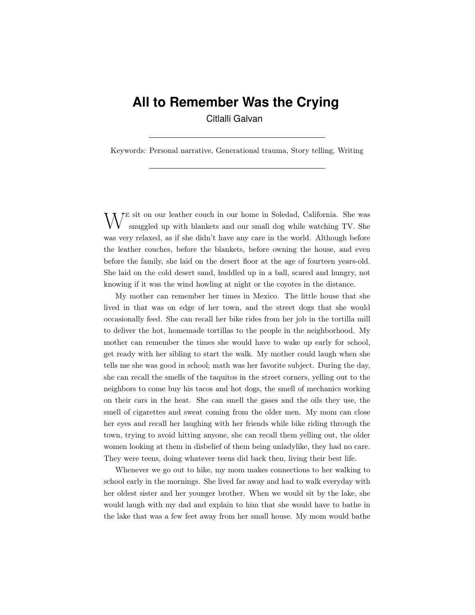## **All to Remember Was the Crying**

Citlalli Galvan

Keywords: Personal narrative, Generational trauma, Story telling, Writing

 $\bar{\Lambda}$   $\bar{C}$  sit on our leather couch in our home in Soledad, California. She was snuggled up with blankets and our small dog while watching TV. She was very relaxed, as if she didn't have any care in the world. Although before the leather couches, before the blankets, before owning the house, and even before the family, she laid on the desert floor at the age of fourteen years-old. She laid on the cold desert sand, huddled up in a ball, scared and hungry, not knowing if it was the wind howling at night or the coyotes in the distance.

My mother can remember her times in Mexico. The little house that she lived in that was on edge of her town, and the street dogs that she would occasionally feed. She can recall her bike rides from her job in the tortilla mill to deliver the hot, homemade tortillas to the people in the neighborhood. My mother can remember the times she would have to wake up early for school, get ready with her sibling to start the walk. My mother could laugh when she tells me she was good in school; math was her favorite subject. During the day, she can recall the smells of the taquitos in the street corners, yelling out to the neighbors to come buy his tacos and hot dogs, the smell of mechanics working on their cars in the heat. She can smell the gases and the oils they use, the smell of cigarettes and sweat coming from the older men. My mom can close her eyes and recall her laughing with her friends while bike riding through the town, trying to avoid hitting anyone, she can recall them yelling out, the older women looking at them in disbelief of them being unladylike, they had no care. They were teens, doing whatever teens did back then, living their best life.

Whenever we go out to hike, my mom makes connections to her walking to school early in the mornings. She lived far away and had to walk everyday with her oldest sister and her younger brother. When we would sit by the lake, she would laugh with my dad and explain to him that she would have to bathe in the lake that was a few feet away from her small house. My mom would bathe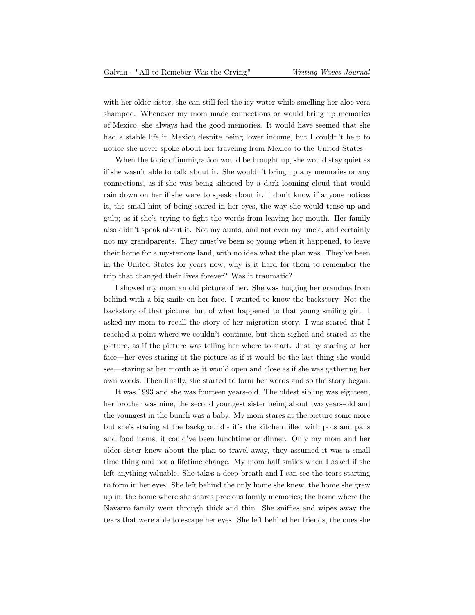with her older sister, she can still feel the icy water while smelling her aloe vera shampoo. Whenever my mom made connections or would bring up memories of Mexico, she always had the good memories. It would have seemed that she had a stable life in Mexico despite being lower income, but I couldn't help to notice she never spoke about her traveling from Mexico to the United States.

When the topic of immigration would be brought up, she would stay quiet as if she wasn't able to talk about it. She wouldn't bring up any memories or any connections, as if she was being silenced by a dark looming cloud that would rain down on her if she were to speak about it. I don't know if anyone notices it, the small hint of being scared in her eyes, the way she would tense up and gulp; as if she's trying to fight the words from leaving her mouth. Her family also didn't speak about it. Not my aunts, and not even my uncle, and certainly not my grandparents. They must've been so young when it happened, to leave their home for a mysterious land, with no idea what the plan was. They've been in the United States for years now, why is it hard for them to remember the trip that changed their lives forever? Was it traumatic?

I showed my mom an old picture of her. She was hugging her grandma from behind with a big smile on her face. I wanted to know the backstory. Not the backstory of that picture, but of what happened to that young smiling girl. I asked my mom to recall the story of her migration story. I was scared that I reached a point where we couldn't continue, but then sighed and stared at the picture, as if the picture was telling her where to start. Just by staring at her face—her eyes staring at the picture as if it would be the last thing she would see—staring at her mouth as it would open and close as if she was gathering her own words. Then finally, she started to form her words and so the story began.

It was 1993 and she was fourteen years-old. The oldest sibling was eighteen, her brother was nine, the second youngest sister being about two years-old and the youngest in the bunch was a baby. My mom stares at the picture some more but she's staring at the background - it's the kitchen filled with pots and pans and food items, it could've been lunchtime or dinner. Only my mom and her older sister knew about the plan to travel away, they assumed it was a small time thing and not a lifetime change. My mom half smiles when I asked if she left anything valuable. She takes a deep breath and I can see the tears starting to form in her eyes. She left behind the only home she knew, the home she grew up in, the home where she shares precious family memories; the home where the Navarro family went through thick and thin. She sniffles and wipes away the tears that were able to escape her eyes. She left behind her friends, the ones she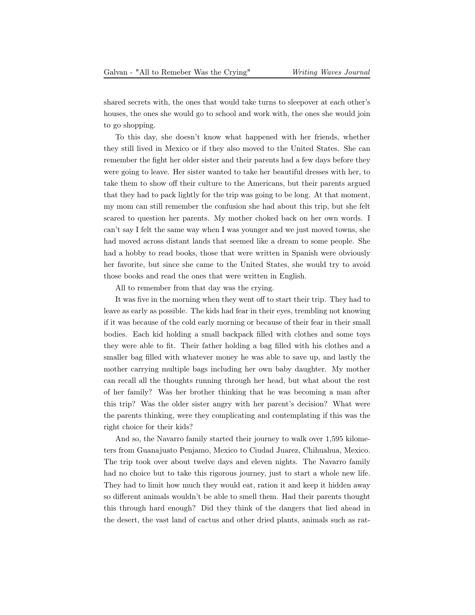shared secrets with, the ones that would take turns to sleepover at each other's houses, the ones she would go to school and work with, the ones she would join to go shopping.

To this day, she doesn't know what happened with her friends, whether they still lived in Mexico or if they also moved to the United States. She can remember the fight her older sister and their parents had a few days before they were going to leave. Her sister wanted to take her beautiful dresses with her, to take them to show off their culture to the Americans, but their parents argued that they had to pack lightly for the trip was going to be long. At that moment, my mom can still remember the confusion she had about this trip, but she felt scared to question her parents. My mother choked back on her own words. I can't say I felt the same way when I was younger and we just moved towns, she had moved across distant lands that seemed like a dream to some people. She had a hobby to read books, those that were written in Spanish were obviously her favorite, but since she came to the United States, she would try to avoid those books and read the ones that were written in English.

All to remember from that day was the crying.

It was five in the morning when they went off to start their trip. They had to leave as early as possible. The kids had fear in their eyes, trembling not knowing if it was because of the cold early morning or because of their fear in their small bodies. Each kid holding a small backpack filled with clothes and some toys they were able to fit. Their father holding a bag filled with his clothes and a smaller bag filled with whatever money he was able to save up, and lastly the mother carrying multiple bags including her own baby daughter. My mother can recall all the thoughts running through her head, but what about the rest of her family? Was her brother thinking that he was becoming a man after this trip? Was the older sister angry with her parent's decision? What were the parents thinking, were they complicating and contemplating if this was the right choice for their kids?

And so, the Navarro family started their journey to walk over 1,595 kilometers from Guanajuato Penjamo, Mexico to Ciudad Juarez, Chihuahua, Mexico. The trip took over about twelve days and eleven nights. The Navarro family had no choice but to take this rigorous journey, just to start a whole new life. They had to limit how much they would eat, ration it and keep it hidden away so different animals wouldn't be able to smell them. Had their parents thought this through hard enough? Did they think of the dangers that lied ahead in the desert, the vast land of cactus and other dried plants, animals such as rat-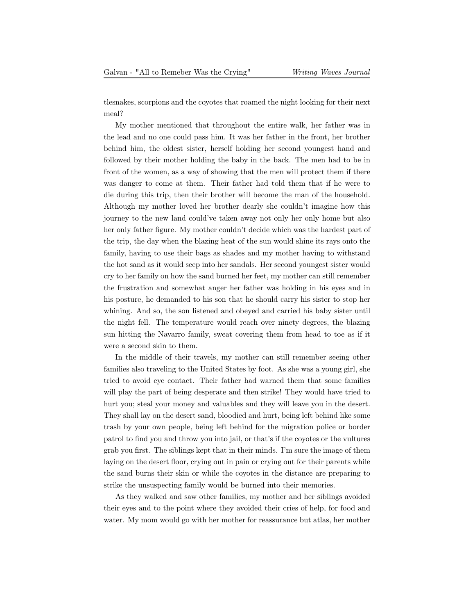tlesnakes, scorpions and the coyotes that roamed the night looking for their next meal?

My mother mentioned that throughout the entire walk, her father was in the lead and no one could pass him. It was her father in the front, her brother behind him, the oldest sister, herself holding her second youngest hand and followed by their mother holding the baby in the back. The men had to be in front of the women, as a way of showing that the men will protect them if there was danger to come at them. Their father had told them that if he were to die during this trip, then their brother will become the man of the household. Although my mother loved her brother dearly she couldn't imagine how this journey to the new land could've taken away not only her only home but also her only father figure. My mother couldn't decide which was the hardest part of the trip, the day when the blazing heat of the sun would shine its rays onto the family, having to use their bags as shades and my mother having to withstand the hot sand as it would seep into her sandals. Her second youngest sister would cry to her family on how the sand burned her feet, my mother can still remember the frustration and somewhat anger her father was holding in his eyes and in his posture, he demanded to his son that he should carry his sister to stop her whining. And so, the son listened and obeyed and carried his baby sister until the night fell. The temperature would reach over ninety degrees, the blazing sun hitting the Navarro family, sweat covering them from head to toe as if it were a second skin to them.

In the middle of their travels, my mother can still remember seeing other families also traveling to the United States by foot. As she was a young girl, she tried to avoid eye contact. Their father had warned them that some families will play the part of being desperate and then strike! They would have tried to hurt you; steal your money and valuables and they will leave you in the desert. They shall lay on the desert sand, bloodied and hurt, being left behind like some trash by your own people, being left behind for the migration police or border patrol to find you and throw you into jail, or that's if the coyotes or the vultures grab you first. The siblings kept that in their minds. I'm sure the image of them laying on the desert floor, crying out in pain or crying out for their parents while the sand burns their skin or while the coyotes in the distance are preparing to strike the unsuspecting family would be burned into their memories.

As they walked and saw other families, my mother and her siblings avoided their eyes and to the point where they avoided their cries of help, for food and water. My mom would go with her mother for reassurance but atlas, her mother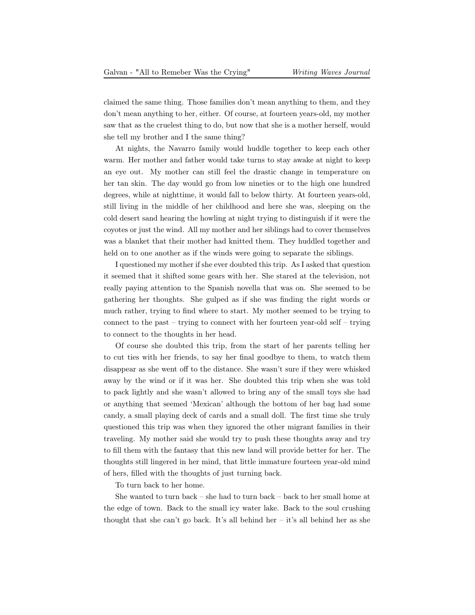claimed the same thing. Those families don't mean anything to them, and they don't mean anything to her, either. Of course, at fourteen years-old, my mother saw that as the cruelest thing to do, but now that she is a mother herself, would she tell my brother and I the same thing?

At nights, the Navarro family would huddle together to keep each other warm. Her mother and father would take turns to stay awake at night to keep an eye out. My mother can still feel the drastic change in temperature on her tan skin. The day would go from low nineties or to the high one hundred degrees, while at nighttime, it would fall to below thirty. At fourteen years-old, still living in the middle of her childhood and here she was, sleeping on the cold desert sand hearing the howling at night trying to distinguish if it were the coyotes or just the wind. All my mother and her siblings had to cover themselves was a blanket that their mother had knitted them. They huddled together and held on to one another as if the winds were going to separate the siblings.

I questioned my mother if she ever doubted this trip. As I asked that question it seemed that it shifted some gears with her. She stared at the television, not really paying attention to the Spanish novella that was on. She seemed to be gathering her thoughts. She gulped as if she was finding the right words or much rather, trying to find where to start. My mother seemed to be trying to connect to the past – trying to connect with her fourteen year-old self – trying to connect to the thoughts in her head.

Of course she doubted this trip, from the start of her parents telling her to cut ties with her friends, to say her final goodbye to them, to watch them disappear as she went off to the distance. She wasn't sure if they were whisked away by the wind or if it was her. She doubted this trip when she was told to pack lightly and she wasn't allowed to bring any of the small toys she had or anything that seemed 'Mexican' although the bottom of her bag had some candy, a small playing deck of cards and a small doll. The first time she truly questioned this trip was when they ignored the other migrant families in their traveling. My mother said she would try to push these thoughts away and try to fill them with the fantasy that this new land will provide better for her. The thoughts still lingered in her mind, that little immature fourteen year-old mind of hers, filled with the thoughts of just turning back.

To turn back to her home.

She wanted to turn back – she had to turn back – back to her small home at the edge of town. Back to the small icy water lake. Back to the soul crushing thought that she can't go back. It's all behind her – it's all behind her as she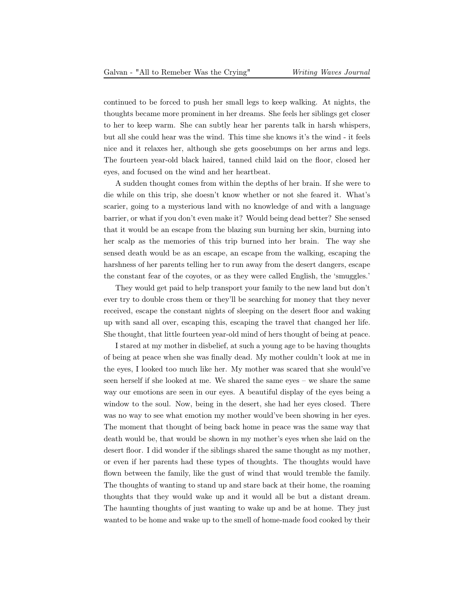continued to be forced to push her small legs to keep walking. At nights, the thoughts became more prominent in her dreams. She feels her siblings get closer to her to keep warm. She can subtly hear her parents talk in harsh whispers, but all she could hear was the wind. This time she knows it's the wind - it feels nice and it relaxes her, although she gets goosebumps on her arms and legs. The fourteen year-old black haired, tanned child laid on the floor, closed her eyes, and focused on the wind and her heartbeat.

A sudden thought comes from within the depths of her brain. If she were to die while on this trip, she doesn't know whether or not she feared it. What's scarier, going to a mysterious land with no knowledge of and with a language barrier, or what if you don't even make it? Would being dead better? She sensed that it would be an escape from the blazing sun burning her skin, burning into her scalp as the memories of this trip burned into her brain. The way she sensed death would be as an escape, an escape from the walking, escaping the harshness of her parents telling her to run away from the desert dangers, escape the constant fear of the coyotes, or as they were called English, the 'smuggles.'

They would get paid to help transport your family to the new land but don't ever try to double cross them or they'll be searching for money that they never received, escape the constant nights of sleeping on the desert floor and waking up with sand all over, escaping this, escaping the travel that changed her life. She thought, that little fourteen year-old mind of hers thought of being at peace.

I stared at my mother in disbelief, at such a young age to be having thoughts of being at peace when she was finally dead. My mother couldn't look at me in the eyes, I looked too much like her. My mother was scared that she would've seen herself if she looked at me. We shared the same eyes – we share the same way our emotions are seen in our eyes. A beautiful display of the eyes being a window to the soul. Now, being in the desert, she had her eyes closed. There was no way to see what emotion my mother would've been showing in her eyes. The moment that thought of being back home in peace was the same way that death would be, that would be shown in my mother's eyes when she laid on the desert floor. I did wonder if the siblings shared the same thought as my mother, or even if her parents had these types of thoughts. The thoughts would have flown between the family, like the gust of wind that would tremble the family. The thoughts of wanting to stand up and stare back at their home, the roaming thoughts that they would wake up and it would all be but a distant dream. The haunting thoughts of just wanting to wake up and be at home. They just wanted to be home and wake up to the smell of home-made food cooked by their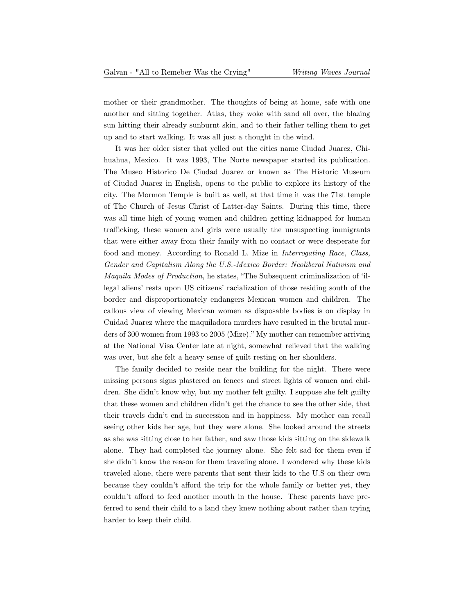mother or their grandmother. The thoughts of being at home, safe with one another and sitting together. Atlas, they woke with sand all over, the blazing sun hitting their already sunburnt skin, and to their father telling them to get up and to start walking. It was all just a thought in the wind.

It was her older sister that yelled out the cities name Ciudad Juarez, Chihuahua, Mexico. It was 1993, The Norte newspaper started its publication. The Museo Historico De Ciudad Juarez or known as The Historic Museum of Ciudad Juarez in English, opens to the public to explore its history of the city. The Mormon Temple is built as well, at that time it was the 71st temple of The Church of Jesus Christ of Latter-day Saints. During this time, there was all time high of young women and children getting kidnapped for human trafficking, these women and girls were usually the unsuspecting immigrants that were either away from their family with no contact or were desperate for food and money. According to Ronald L. Mize in Interrogating Race, Class, Gender and Capitalism Along the U.S.-Mexico Border: Neoliberal Nativism and Maquila Modes of Production, he states, "The Subsequent criminalization of 'illegal aliens' rests upon US citizens' racialization of those residing south of the border and disproportionately endangers Mexican women and children. The callous view of viewing Mexican women as disposable bodies is on display in Cuidad Juarez where the maquiladora murders have resulted in the brutal murders of 300 women from 1993 to 2005 (Mize)." My mother can remember arriving at the National Visa Center late at night, somewhat relieved that the walking was over, but she felt a heavy sense of guilt resting on her shoulders.

The family decided to reside near the building for the night. There were missing persons signs plastered on fences and street lights of women and children. She didn't know why, but my mother felt guilty. I suppose she felt guilty that these women and children didn't get the chance to see the other side, that their travels didn't end in succession and in happiness. My mother can recall seeing other kids her age, but they were alone. She looked around the streets as she was sitting close to her father, and saw those kids sitting on the sidewalk alone. They had completed the journey alone. She felt sad for them even if she didn't know the reason for them traveling alone. I wondered why these kids traveled alone, there were parents that sent their kids to the U.S on their own because they couldn't afford the trip for the whole family or better yet, they couldn't afford to feed another mouth in the house. These parents have preferred to send their child to a land they knew nothing about rather than trying harder to keep their child.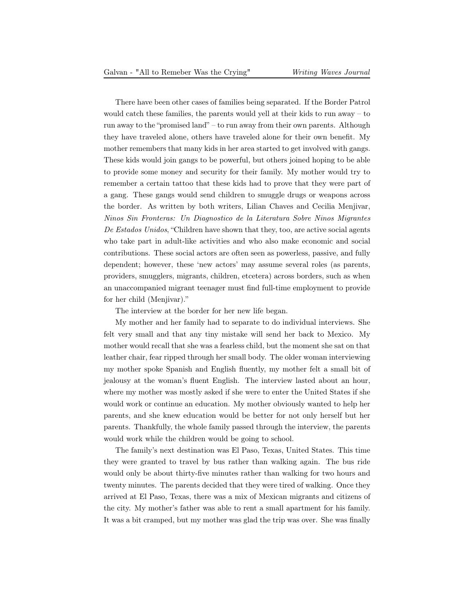There have been other cases of families being separated. If the Border Patrol would catch these families, the parents would yell at their kids to run away – to run away to the "promised land" – to run away from their own parents. Although they have traveled alone, others have traveled alone for their own benefit. My mother remembers that many kids in her area started to get involved with gangs. These kids would join gangs to be powerful, but others joined hoping to be able to provide some money and security for their family. My mother would try to remember a certain tattoo that these kids had to prove that they were part of a gang. These gangs would send children to smuggle drugs or weapons across the border. As written by both writers, Lilian Chaves and Cecilia Menjivar, Ninos Sin Fronteras: Un Diagnostico de la Literatura Sobre Ninos Migrantes De Estados Unidos, "Children have shown that they, too, are active social agents who take part in adult-like activities and who also make economic and social contributions. These social actors are often seen as powerless, passive, and fully dependent; however, these 'new actors' may assume several roles (as parents, providers, smugglers, migrants, children, etcetera) across borders, such as when an unaccompanied migrant teenager must find full-time employment to provide for her child (Menjivar)."

The interview at the border for her new life began.

My mother and her family had to separate to do individual interviews. She felt very small and that any tiny mistake will send her back to Mexico. My mother would recall that she was a fearless child, but the moment she sat on that leather chair, fear ripped through her small body. The older woman interviewing my mother spoke Spanish and English fluently, my mother felt a small bit of jealousy at the woman's fluent English. The interview lasted about an hour, where my mother was mostly asked if she were to enter the United States if she would work or continue an education. My mother obviously wanted to help her parents, and she knew education would be better for not only herself but her parents. Thankfully, the whole family passed through the interview, the parents would work while the children would be going to school.

The family's next destination was El Paso, Texas, United States. This time they were granted to travel by bus rather than walking again. The bus ride would only be about thirty-five minutes rather than walking for two hours and twenty minutes. The parents decided that they were tired of walking. Once they arrived at El Paso, Texas, there was a mix of Mexican migrants and citizens of the city. My mother's father was able to rent a small apartment for his family. It was a bit cramped, but my mother was glad the trip was over. She was finally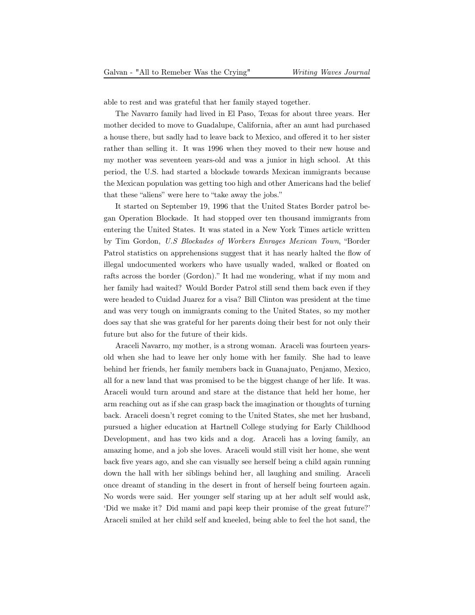able to rest and was grateful that her family stayed together.

The Navarro family had lived in El Paso, Texas for about three years. Her mother decided to move to Guadalupe, California, after an aunt had purchased a house there, but sadly had to leave back to Mexico, and offered it to her sister rather than selling it. It was 1996 when they moved to their new house and my mother was seventeen years-old and was a junior in high school. At this period, the U.S. had started a blockade towards Mexican immigrants because the Mexican population was getting too high and other Americans had the belief that these "aliens" were here to "take away the jobs."

It started on September 19, 1996 that the United States Border patrol began Operation Blockade. It had stopped over ten thousand immigrants from entering the United States. It was stated in a New York Times article written by Tim Gordon, U.S Blockades of Workers Enrages Mexican Town, "Border Patrol statistics on apprehensions suggest that it has nearly halted the flow of illegal undocumented workers who have usually waded, walked or floated on rafts across the border (Gordon)." It had me wondering, what if my mom and her family had waited? Would Border Patrol still send them back even if they were headed to Cuidad Juarez for a visa? Bill Clinton was president at the time and was very tough on immigrants coming to the United States, so my mother does say that she was grateful for her parents doing their best for not only their future but also for the future of their kids.

Araceli Navarro, my mother, is a strong woman. Araceli was fourteen yearsold when she had to leave her only home with her family. She had to leave behind her friends, her family members back in Guanajuato, Penjamo, Mexico, all for a new land that was promised to be the biggest change of her life. It was. Araceli would turn around and stare at the distance that held her home, her arm reaching out as if she can grasp back the imagination or thoughts of turning back. Araceli doesn't regret coming to the United States, she met her husband, pursued a higher education at Hartnell College studying for Early Childhood Development, and has two kids and a dog. Araceli has a loving family, an amazing home, and a job she loves. Araceli would still visit her home, she went back five years ago, and she can visually see herself being a child again running down the hall with her siblings behind her, all laughing and smiling. Araceli once dreamt of standing in the desert in front of herself being fourteen again. No words were said. Her younger self staring up at her adult self would ask, 'Did we make it? Did mami and papi keep their promise of the great future?' Araceli smiled at her child self and kneeled, being able to feel the hot sand, the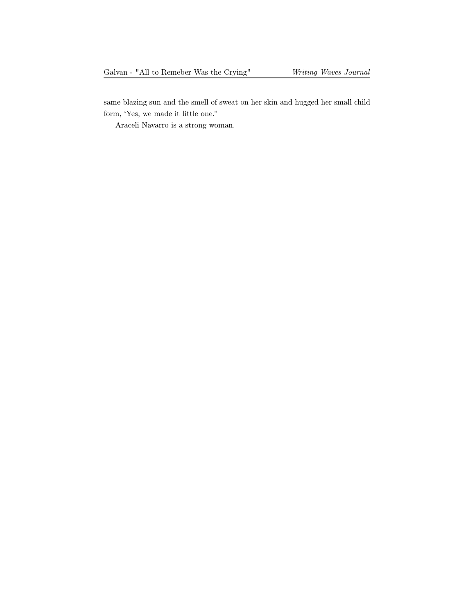same blazing sun and the smell of sweat on her skin and hugged her small child form, 'Yes, we made it little one."

Araceli Navarro is a strong woman.